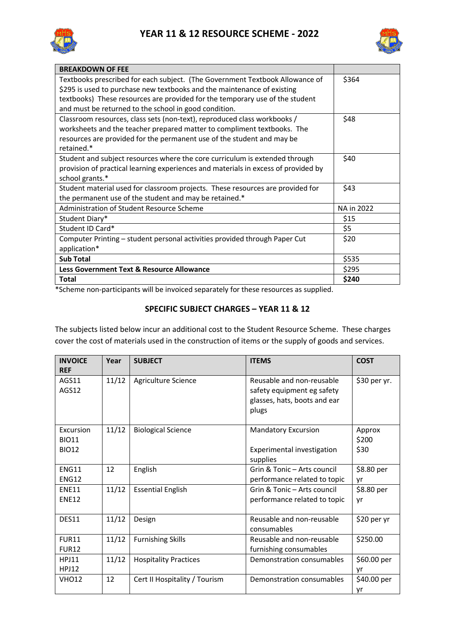



| <b>BREAKDOWN OF FEE</b>                                                            |            |
|------------------------------------------------------------------------------------|------------|
| Textbooks prescribed for each subject. (The Government Textbook Allowance of       | \$364      |
| \$295 is used to purchase new textbooks and the maintenance of existing            |            |
| textbooks) These resources are provided for the temporary use of the student       |            |
| and must be returned to the school in good condition.                              |            |
| Classroom resources, class sets (non-text), reproduced class workbooks /           | \$48       |
| worksheets and the teacher prepared matter to compliment textbooks. The            |            |
| resources are provided for the permanent use of the student and may be             |            |
| retained.*                                                                         |            |
| Student and subject resources where the core curriculum is extended through        | \$40       |
| provision of practical learning experiences and materials in excess of provided by |            |
| school grants.*                                                                    |            |
| Student material used for classroom projects. These resources are provided for     | \$43       |
| the permanent use of the student and may be retained.*                             |            |
| Administration of Student Resource Scheme                                          | NA in 2022 |
| Student Diary*                                                                     | \$15       |
| Student ID Card*                                                                   | \$5        |
| Computer Printing - student personal activities provided through Paper Cut         | \$20       |
| application*                                                                       |            |
| <b>Sub Total</b>                                                                   | \$535      |
| Less Government Text & Resource Allowance                                          | \$295      |
| <b>Total</b>                                                                       | \$240      |

\*Scheme non-participants will be invoiced separately for these resources as supplied.

## **SPECIFIC SUBJECT CHARGES – YEAR 11 & 12**

The subjects listed below incur an additional cost to the Student Resource Scheme. These charges cover the cost of materials used in the construction of items or the supply of goods and services.

| <b>INVOICE</b>                            | Year  | <b>SUBJECT</b>                | <b>ITEMS</b>                                                                                     | <b>COST</b>             |
|-------------------------------------------|-------|-------------------------------|--------------------------------------------------------------------------------------------------|-------------------------|
| <b>REF</b><br>AGS11<br>AGS12              | 11/12 | Agriculture Science           | Reusable and non-reusable<br>safety equipment eg safety<br>glasses, hats, boots and ear<br>plugs | \$30 per yr.            |
| Excursion<br><b>BIO11</b><br><b>BIO12</b> | 11/12 | <b>Biological Science</b>     | <b>Mandatory Excursion</b><br>Experimental investigation<br>supplies                             | Approx<br>\$200<br>\$30 |
| <b>ENG11</b><br><b>ENG12</b>              | 12    | English                       | Grin & Tonic - Arts council<br>performance related to topic                                      | \$8.80 per<br>yr        |
| <b>ENE11</b><br><b>ENE12</b>              | 11/12 | <b>Essential English</b>      | Grin & Tonic - Arts council<br>performance related to topic                                      | \$8.80 per<br>yr        |
| DES11                                     | 11/12 | Design                        | Reusable and non-reusable<br>consumables                                                         | \$20 per yr             |
| <b>FUR11</b><br><b>FUR12</b>              | 11/12 | <b>Furnishing Skills</b>      | Reusable and non-reusable<br>furnishing consumables                                              | \$250.00                |
| <b>HPJ11</b><br><b>HPJ12</b>              | 11/12 | <b>Hospitality Practices</b>  | Demonstration consumables                                                                        | \$60.00 per<br>yr       |
| <b>VHO12</b>                              | 12    | Cert II Hospitality / Tourism | Demonstration consumables                                                                        | \$40.00 per<br>yr       |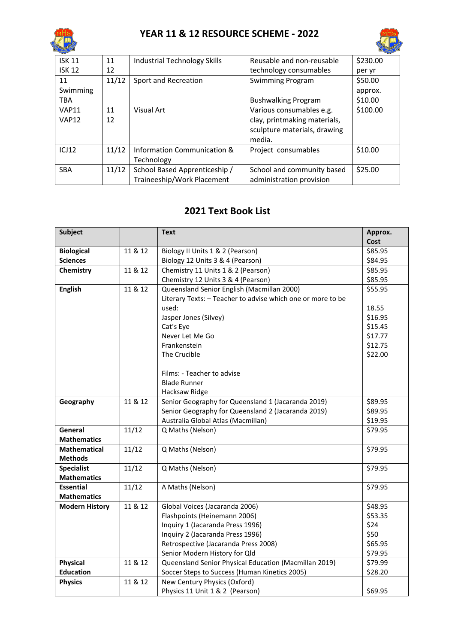



| <b>ISK 11</b> | 11    | Industrial Technology Skills  | Reusable and non-reusable    | \$230.00 |
|---------------|-------|-------------------------------|------------------------------|----------|
| <b>ISK 12</b> | 12    |                               | technology consumables       | per yr   |
| 11            | 11/12 | Sport and Recreation          | <b>Swimming Program</b>      | \$50.00  |
| Swimming      |       |                               |                              | approx.  |
| <b>TBA</b>    |       |                               | <b>Bushwalking Program</b>   | \$10.00  |
| <b>VAP11</b>  | 11    | Visual Art                    | Various consumables e.g.     | \$100.00 |
| <b>VAP12</b>  | 12    |                               | clay, printmaking materials, |          |
|               |       |                               | sculpture materials, drawing |          |
|               |       |                               | media.                       |          |
| ICJ12         | 11/12 | Information Communication &   | Project consumables          | \$10.00  |
|               |       | Technology                    |                              |          |
| <b>SBA</b>    | 11/12 | School Based Apprenticeship / | School and community based   | \$25.00  |
|               |       | Traineeship/Work Placement    | administration provision     |          |

## **2021 Text Book List**

| <b>Subject</b>        |         | <b>Text</b>                                                 | Approx. |
|-----------------------|---------|-------------------------------------------------------------|---------|
|                       |         |                                                             | Cost    |
| <b>Biological</b>     | 11 & 12 | Biology II Units 1 & 2 (Pearson)                            | \$85.95 |
| <b>Sciences</b>       |         | Biology 12 Units 3 & 4 (Pearson)                            | \$84.95 |
| Chemistry             | 11 & 12 | Chemistry 11 Units 1 & 2 (Pearson)                          | \$85.95 |
|                       |         | Chemistry 12 Units 3 & 4 (Pearson)                          | \$85.95 |
| <b>English</b>        | 11 & 12 | Queensland Senior English (Macmillan 2000)                  | \$55.95 |
|                       |         | Literary Texts: - Teacher to advise which one or more to be |         |
|                       |         | used:                                                       | 18.55   |
|                       |         | Jasper Jones (Silvey)                                       | \$16.95 |
|                       |         | Cat's Eye                                                   | \$15.45 |
|                       |         | Never Let Me Go                                             | \$17.77 |
|                       |         | Frankenstein                                                | \$12.75 |
|                       |         | The Crucible                                                | \$22.00 |
|                       |         |                                                             |         |
|                       |         | Films: - Teacher to advise                                  |         |
|                       |         | <b>Blade Runner</b>                                         |         |
|                       |         | Hacksaw Ridge                                               |         |
| Geography             | 11 & 12 | Senior Geography for Queensland 1 (Jacaranda 2019)          | \$89.95 |
|                       |         | Senior Geography for Queensland 2 (Jacaranda 2019)          | \$89.95 |
|                       |         | Australia Global Atlas (Macmillan)                          | \$19.95 |
| General               | 11/12   | Q Maths (Nelson)                                            | \$79.95 |
| <b>Mathematics</b>    |         |                                                             |         |
| <b>Mathematical</b>   | 11/12   | Q Maths (Nelson)                                            | \$79.95 |
| <b>Methods</b>        |         |                                                             |         |
| <b>Specialist</b>     | 11/12   | Q Maths (Nelson)                                            | \$79.95 |
| <b>Mathematics</b>    |         |                                                             |         |
| <b>Essential</b>      | 11/12   | A Maths (Nelson)                                            | \$79.95 |
| <b>Mathematics</b>    |         |                                                             |         |
| <b>Modern History</b> | 11 & 12 | Global Voices (Jacaranda 2006)                              | \$48.95 |
|                       |         | Flashpoints (Heinemann 2006)                                | \$53.35 |
|                       |         | Inquiry 1 (Jacaranda Press 1996)                            | \$24    |
|                       |         | Inquiry 2 (Jacaranda Press 1996)                            | \$50    |
|                       |         | Retrospective (Jacaranda Press 2008)                        | \$65.95 |
|                       |         | Senior Modern History for Qld                               | \$79.95 |
| Physical              | 11 & 12 | Queensland Senior Physical Education (Macmillan 2019)       | \$79.99 |
| <b>Education</b>      |         | Soccer Steps to Success (Human Kinetics 2005)               | \$28.20 |
| <b>Physics</b>        | 11 & 12 | New Century Physics (Oxford)                                |         |
|                       |         | Physics 11 Unit 1 & 2 (Pearson)                             | \$69.95 |